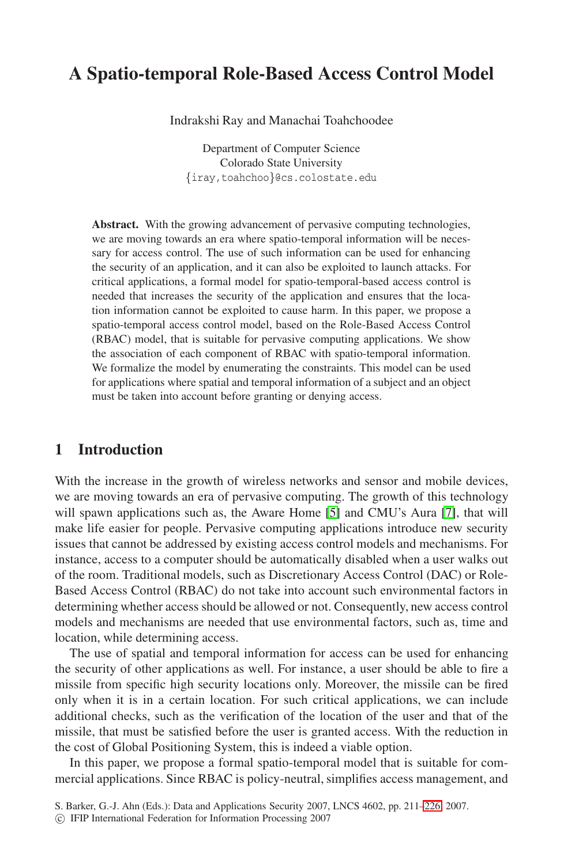# **A Spatio-temporal Role-Based Access Control Model**

Indrakshi Ray and Manachai Toahchoodee

Department of Computer Science Colorado State University {iray,toahchoo}@cs.colostate.edu

**Abstract.** With the growing advancement of pervasive computing technologies, we are moving towards an era where spatio-temporal information will be necessary for access control. The use of such information can be used for enhancing the security of an application, and it can also be exploited to launch attacks. For critical applications, a formal model for spatio-temporal-based access control is needed that increases the security of the application and ensures that the location information cannot be exploited to cause harm. In this paper, we propose a spatio-temporal access control model, based on the Role-Based Access Control (RBAC) model, that is suitable for pervasive computing applications. We show the association of each component of RBAC with spatio-temporal information. We formalize the model by enumerating the constraints. This model can be used for applications where spatial and temporal information of a subject and an object must be taken into account [be](#page-15-0)fore granting or denyi[ng](#page-15-1) access.

## **1 Introduction**

With the increase in the growth of wireless networks and sensor and mobile devices, we are moving towards an era of pervasive computing. The growth of this technology will spawn applications such as, the Aware Home [5] and CMU's Aura [7], that will make life easier for people. Pervasive computing applications introduce new security issues that cannot be addressed by existing access control models and mechanisms. For instance, access to a computer should be automatically disabled when a user walks out of the room. Traditional models, such as Discretionary Access Control (DAC) or Role-Based Access Control (RBAC) do not take into account such environmental factors in determining whether access should be allowed or not. Consequently, new access control models and mechanisms are needed that use environmental factors, such as, time and location, while determining access.

The use of spatial and temporal information for access can be used for enhancing the security of other applications as well. For instance, a user should be able to fire a missile from specific high security locations onl[y. M](#page-15-2)oreover, the missile can be fired only when it is in a certain location. For such critical applications, we can include additional checks, such as the verification of the location of the user and that of the missile, that must be satisfied before the user is granted access. With the reduction in the cost of Global Positioning System, this is indeed a viable option.

In this paper, we propose a formal spatio-temporal model that is suitable for commercial applications. Since RBAC is policy-neutral, simplifies access management, and

S. Barker, G.-J. Ahn (Eds.): Data and Applications Security 2007, LNCS 4602, pp. 211–226, 2007.

 $\odot$  IFIP International Federation for Information Processing 2007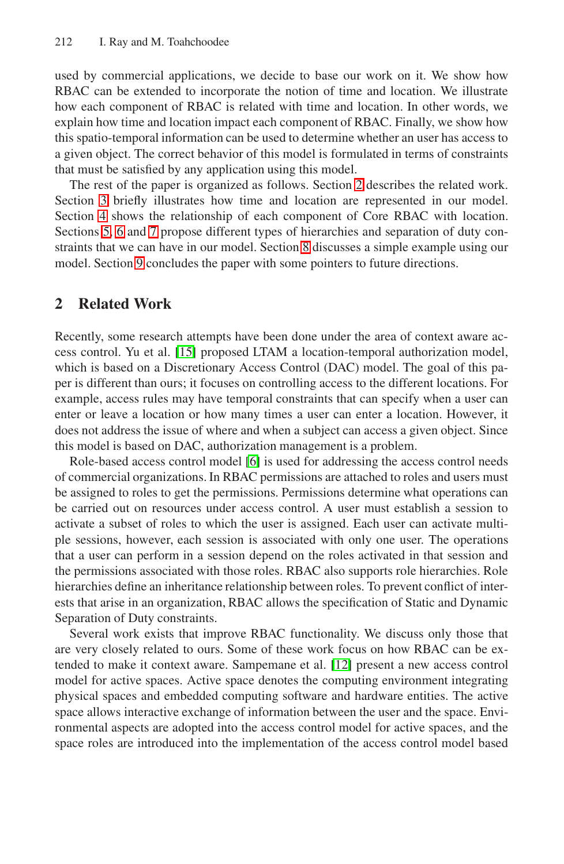#### 212 I. Ray and M. Toahchoodee

used by commercial applications, [we](#page-1-0) decide to base our work on it. We show how RBAC can be extended to incorporate the notion of time and location. We illustrate how each component of RBAC is related with time and location. In other words, we explain how time and loca[tio](#page-13-0)n impact each component of RBAC. Finally, we show how this spatio-temporal information can be used to determine whether an user has access to a given object. The correct behavior of this model is formulated in terms of constraints that must be satisfied by any application using this model.

<span id="page-1-0"></span>The rest of the paper is organized as follows. Section 2 describes the related work. Section 3 briefly illustrates how time and location are represented in our model. Section 4 shows the relationship of each component of Core RBAC with location. Se[ctio](#page-15-3)ns 5, 6 and 7 propose different types of hierarchies and separation of duty constraints that we can have in our model. Section 8 discusses a simple example using our model. Section 9 concludes the paper with some pointers to future directions.

## **2 Related Work**

Recently, some [re](#page-15-4)search attempts have been done under the area of context aware access control. Yu et al. [15] proposed LTAM a location-temporal authorization model, which is based on a Discretionary Access Control (DAC) model. The goal of this paper is different than ours; it focuses on controlling access to the different locations. For example, access rules may have temporal constraints that can specify when a user can enter or leave a location or how many times a user can enter a location. However, it does not address the issue of where and when a subject can access a given object. Since this model is based on DAC, authorization management is a problem.

Role-based access control model [6] is used for addressing the access control needs of commercial organizations. In RBAC permissions are attached to roles and users must be assigned to roles to get the permissions. Permissions determine what operations can be carried out on resources under access control. A user must establish a session to activate a subset of roles to which the user is assigned. Each user can activate multiple sessions, however, each ses[sion](#page-15-5) is associated with only one user. The operations that a user can perform in a session depend on the roles activated in that session and the permissions associated with those roles. RBAC also supports role hierarchies. Role hierarchies define an inheritance relationship between roles. To prevent conflict of interests that arise in an organization, RBAC allows the specification of Static and Dynamic Separation of Duty constraints.

Several work exists that improve RBAC functionality. We discuss only those that are very closely related to ours. Some of these work focus on how RBAC can be extended to make it context aware. Sampemane et al. [12] present a new access control model for active spaces. Active space denotes the computing environment integrating physical spaces and embedded computing software and hardware entities. The active space allows interactive exchange of information between the user and the space. Environmental aspects are adopted into the access control model for active spaces, and the space roles are introduced into the implementation of the access control model based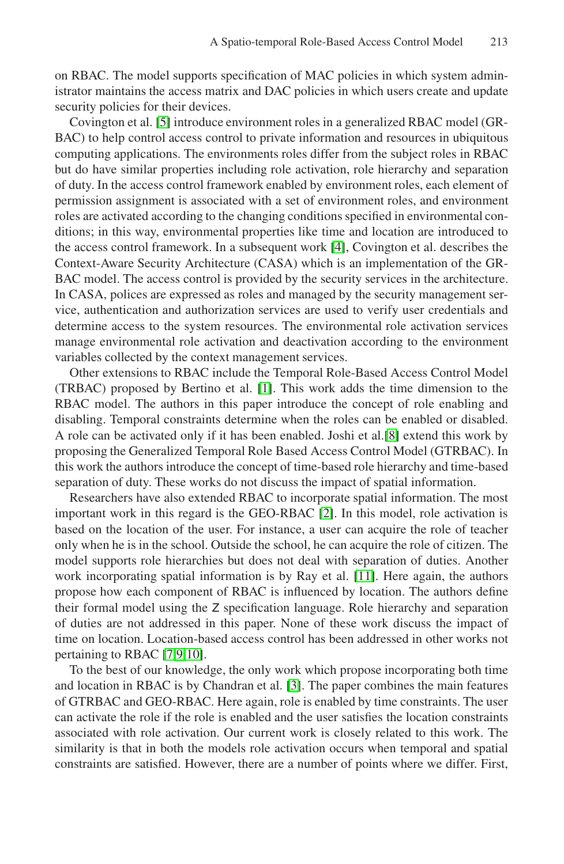on RBAC. The model supports specification of MAC policies in which system administrator maintains the access matrix and DAC policies in which users create and update security policies for their devices.

Covington et al. [5] introduce [en](#page-15-6)vironment roles in a generalized RBAC model (GR-BAC) to help control access control to private information and resources in ubiquitous computing applications. The environments roles differ from the subject roles in RBAC but do have similar properties including role activation, role hierarchy and separation of duty. In the access control framework enabled by environment roles, each element of permission assignment is associated with a set of environment roles, and environment roles are activated according to the changing conditions specified in environmental conditions; in this way, environmental properties like time and location are introduced to the access control framework. In a subsequent work [4], Covington et al. describes the Context-Aware Se[cu](#page-15-7)rity Architecture (CASA) which is an implementation of the GR-BAC model. The access control is provided by the security services in the architecture. In CASA, polices are expressed as roles and managed by the security management service, authentication and authorization ser[vic](#page-15-8)es are used to verify user credentials and determine access to the system resources. The environmental role activation services manage environmental role activation and deactivation according to the environment variables collected by the context management services.

Other extensions to RBAC include the Temporal Role-Based Access Control Model (TRBAC) proposed by Bertin[o](#page-15-9) et al. [1]. This work adds the time dimension to the RBAC model. The authors in this paper introduce the concept of role enabling and disabling. Temporal constraints determine when the roles can be enabled or disabled. A role can be activated only if it has been enabled. Joshi et al.[8] extend this work by proposing the Generalized Temporal [Rol](#page-15-10)e Based Access Control Model (GTRBAC). In this work the authors introduce the concept of time-based role hierarchy and time-based separation of duty. These works do not discuss the impact of spatial information.

Researchers have also extended RBAC to incorporate spatial information. The most important work in this regard is the GEO-RBAC [2]. In this model, role activation is [ba](#page-15-1)[se](#page-15-11)[d o](#page-15-12)n the location of the user. For instance, a user can acquire the role of teacher only when he is in the school. Outside the school, he can acquire the role of citizen. The model supports role hi[era](#page-15-13)rchies but does not deal with separation of duties. Another work incorporating spatial information is by Ray et al. [11]. Here again, the authors propose how each component of RBAC is influenced by location. The authors define their formal model using the Z specification language. Role hierarchy and separation of duties are not addressed in this paper. None of these work discuss the impact of time on location. Location-based access control has been addressed in other works not pertaining to RBAC [7,9,10].

To the best of our knowledge, the only work which propose incorporating both time and location in RBAC is by Chandran et al. [3]. The paper combines the main features of GTRBAC and GEO-RBAC. Here again, role is enabled by time constraints. The user can activate the role if the role is enabled and the user satisfies the location constraints associated with role activation. Our current work is closely related to this work. The similarity is that in both the models role activation occurs when temporal and spatial constraints are satisfied. However, there are a number of points where we differ. First,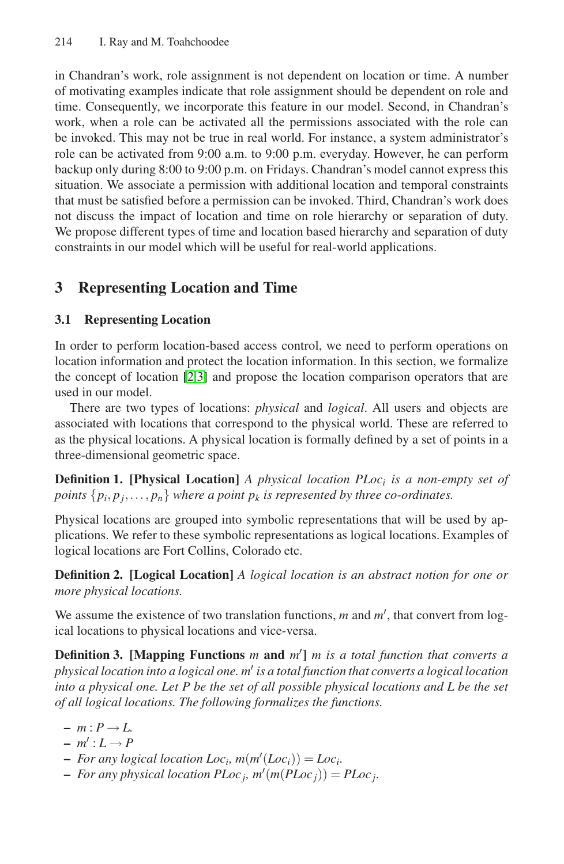#### 214 I. Ray and M. Toahchoodee

in Chandran's work, role assignment is not dependent on location or time. A number of motivating examples indicate that role assignment should be dependent on role and time. Consequently, we incorporate this feature in our model. Second, in Chandran's work, when a role can be activated all the permissions associated with the role can be invoked. This may not be true in real world. For instance, a system administrator's role can be activated from 9:00 a.m. to 9:00 p.m. everyday. However, he can perform backup only during 8:00 to 9:00 p.m. on Fridays. Chandran's model cannot express this situation. We associate a permission with additional location and temporal constraints that must be satisfied before a permission can be invoked. Third, Chandran's work does not discuss the impact of location and time on role hierarchy or separation of duty. We propose different types of time and location based hierarchy and separation of duty con[str](#page-15-9)[ai](#page-15-13)nts in our model which will be useful for real-world applications.

## **3 Representing Location and Time**

#### **3.1 Representing Location**

In order to perform location-based access control, we need to perform operations on location information and protect the location information. In this section, we formalize the concept of location [2,3] and propose the location comparison operators that are used in our model.

There are two types of locations: *physical* and *logical*. All users and objects are associated with locations that correspond to the physical world. These are referred to as the physical locations. A physical location is formally defined by a set of points in a three-dimensional geometric space.

**Definition 1. [Physical Location]** *A physical location PLoci is a non-empty set of points*  $\{p_i, p_j, \ldots, p_n\}$  *where a point*  $p_k$  *is represented by three co-ordinates.* 

Physical locations are grouped into symbolic representations that will be used by applications. We refer to these symbolic representations as logical locations. Examples of logical locations are Fort Collins, Colorado etc.

**Definition 2. [Logical Location]** *A logical location is an abstract notion for one or more physical locations.*

We assume the existence of two translation functions,  $m$  and  $m'$ , that convert from logical locations to physical locations and vice-versa.

**Definition 3. [Mapping Functions** *m* **and** *m* **]** *m is a total function that converts a physical location into a logical one. m is a total function that converts a logical location into a physical one. Let P be the set of all possible physical locations and L be the set of all logical locations. The following formalizes the functions.*

$$
- m : P \to L.
$$

 $- m' : L \rightarrow P$ 

- *– For any logical location Loc<sub>i</sub>*,  $m(m'(Loc<sub>i</sub>)) = Loc<sub>i</sub>$ .
- $-$  *For any physical location PLoc<sub>j</sub>,*  $m'(m(PLoc<sub>j</sub>)) = PLoc<sub>j</sub>$ *.*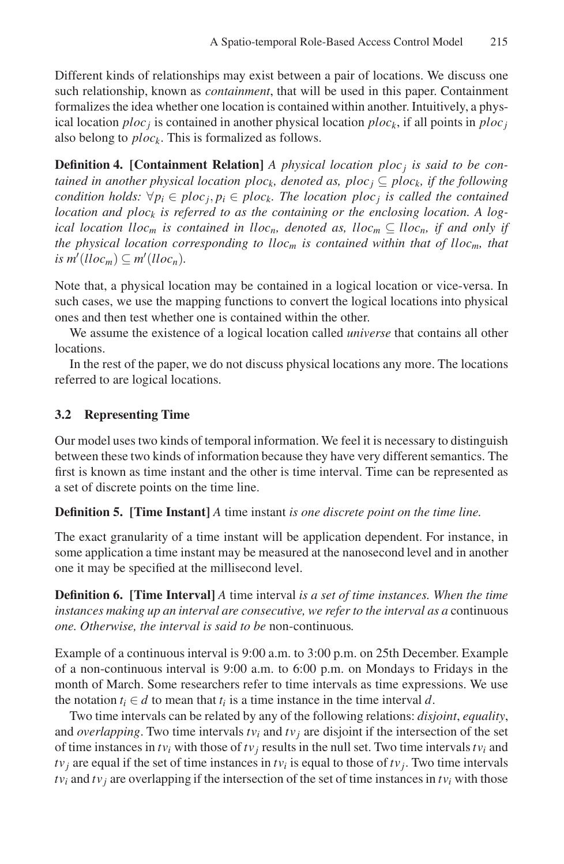Different kinds of relationships may exist between a pair of locations. We discuss one such relationship, known as *containment*, that will be used in this paper. Containment formalizes the idea whether one location is contained within another. Intuitively, a physical location  $ploc_j$  is contained in another physical location  $ploc_k$ , if all points in  $ploc_j$ also belong to *plock*. This is formalized as follows.

**Definition 4. [Containment Relation]** *A physical location plocj is said to be contained in another physical location ploc<sub>k</sub>, denoted as, ploc<sub>i</sub> ⊆ <i>ploc<sub>k</sub>*, *if the following condition holds:*  $\forall p_i \in ploc_j, p_i \in ploc_k$ . The location ploc<sub>j</sub> is called the contained *location and ploc<sub>k</sub> is referred to as the containing or the enclosing location.* A log*ical location lloc<sub>m</sub> is contained in lloc<sub>n</sub>, denoted as, lloc<sub>m</sub>*  $\subseteq$  *<i>lloc<sub>n</sub>, if and only if the physical location corresponding to llocm is contained within that of llocm, that*  $is m'(lloc<sub>m</sub>) \subseteq m'(lloc<sub>n</sub>).$ 

Note that, a physical location may be contained in a logical location or vice-versa. In such cases, we use the mapping functions to convert the logical locations into physical ones and then test whether one is contained within the other.

We assume the existence of a logical location called *universe* that contains all other locations.

In the rest of the paper, we do not discuss physical locations any more. The locations referred to are logical locations.

### **3.2 Representing Time**

Our model uses two kinds of temporal information. We feel it is necessary to distinguish between these two kinds of information because they have very different semantics. The first is known as time instant and the other is time interval. Time can be represented as a set of discrete points on the time line.

**Definition 5. [Time Instant]** *A* time instant *is one discrete point on the time line.*

The exact granularity of a time instant will be application dependent. For instance, in some application a time instant may be measured at the nanosecond level and in another one it may be specified at the millisecond level.

**Definition 6. [Time Interval]** *A* time interval *is a set of time instances. When the time instances making up an interval are consecutive, we refer to the interval as a* continuous *one. Otherwise, the interval is said to be* non-continuous*.*

Example of a continuous interval is 9:00 a.m. to 3:00 p.m. on 25th December. Example of a non-continuous interval is 9:00 a.m. to 6:00 p.m. on Mondays to Fridays in the month of March. Some researchers refer to time intervals as time expressions. We use the notation  $t_i \in d$  to mean that  $t_i$  is a time instance in the time interval d.

Two time intervals can be related by any of the following relations: *disjoint*, *equality*, and *overlapping*. Two time intervals  $tv_i$  and  $tv_j$  are disjoint if the intersection of the set of time instances in  $t v_i$  with those of  $t v_j$  results in the null set. Two time intervals  $t v_i$  and  $t\nu_i$  are equal if the set of time instances in  $t\nu_i$  is equal to those of  $t\nu_i$ . Two time intervals  $t_{vi}$  and  $t_{vi}$  are overlapping if the intersection of the set of time instances in  $t_{vi}$  with those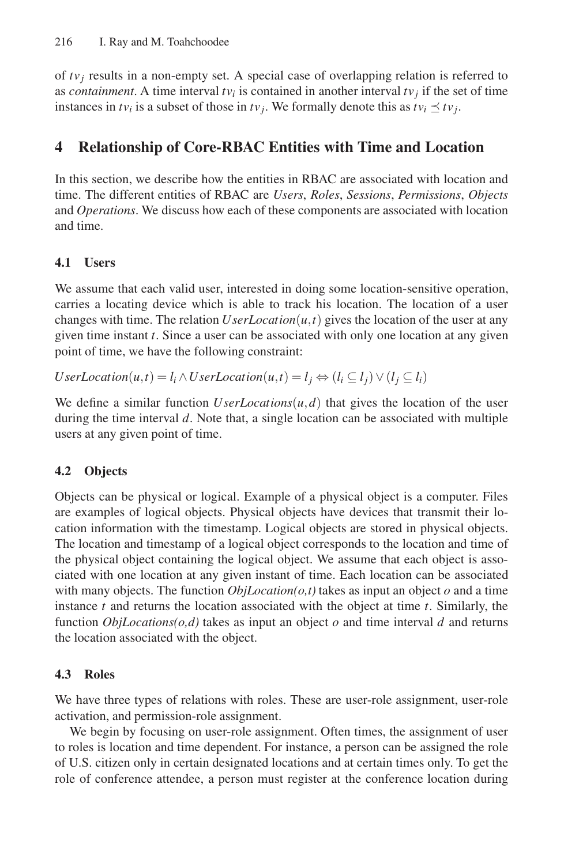of  $t v_j$  results in a non-empty set. A special case of overlapping relation is referred to as *containment*. A time interval  $tv_i$  is contained in another interval  $tv_i$  if the set of time instances in *tv<sub>i</sub>* is a subset of those in *tv<sub>i</sub>*. We formally denote this as  $tv_i \preceq tv_i$ .

# **4 Relationship of Core-RBAC Entities with Time and Location**

In this section, we describe how the entities in RBAC are associated with location and time. The different entities of RBAC are *Users*, *Roles*, *Sessions*, *Permissions*, *Objects* and *Operations*. We discuss how each of these components are associated with location and time.

# **4.1 Users**

We assume that each valid user, interested in doing some location-sensitive operation, carries a locating device which is able to track his location. The location of a user changes with time. The relation *UserLocation*( $u$ ,*t*) gives the location of the user at any given time instant *t*. Since a user can be associated with only one location at any given point of time, we have the following constraint:

 $UserLocation(u,t) = l_i \wedge UserLocation(u,t) = l_j \Leftrightarrow (l_i \subseteq l_j) \vee (l_i \subseteq l_i)$ 

We define a similar function  $UserLocations(u, d)$  that gives the location of the user during the time interval *d*. Note that, a single location can be associated with multiple users at any given point of time.

# **4.2 Objects**

Objects can be physical or logical. Example of a physical object is a computer. Files are examples of logical objects. Physical objects have devices that transmit their location information with the timestamp. Logical objects are stored in physical objects. The location and timestamp of a logical object corresponds to the location and time of the physical object containing the logical object. We assume that each object is associated with one location at any given instant of time. Each location can be associated with many objects. The function  $ObjLocation(o,t)$  takes as input an object  $o$  and a time instance *t* and returns the location associated with the object at time *t*. Similarly, the function *ObjLocations(o,d)* takes as input an object *o* and time interval *d* and returns the location associated with the object.

# **4.3 Roles**

We have three types of relations with roles. These are user-role assignment, user-role activation, and permission-role assignment.

We begin by focusing on user-role assignment. Often times, the assignment of user to roles is location and time dependent. For instance, a person can be assigned the role of U.S. citizen only in certain designated locations and at certain times only. To get the role of conference attendee, a person must register at the conference location during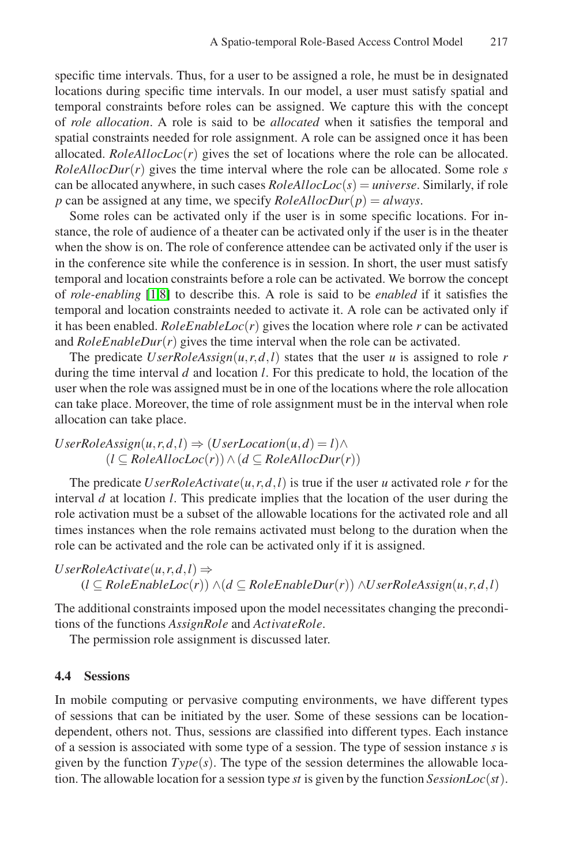specific time intervals. Thus, for a user to be assigned a role, he must be in designated locations during specific time intervals. In our model, a user must satisfy spatial and temporal constraints before roles can be assigned. We capture this with the concept of *role allocation*. A role is said to be *allocated* when it satisfies the temporal and spatial constraints needed for role assignment. A role can be assigned once it has been allocated.  $RoleA$ lloc $Loc(r)$  gives the set of locations where the role can be allocated.  $RoleA llocDur(r)$  $RoleA llocDur(r)$  gives the time interval where the role can be allocated. Some role *s* can be allocated anywhere, in such cases  $RoleAllocLoc(s) = universe$ . Similarly, if role *p* can be assigned at any time, we specify *RoleAllocDur*(*p*) = *always*.

Some roles can be activated only if the user is in some specific locations. For instance, the role of audience of a theater can be activated only if the user is in the theater when the show is on. The role of conference attendee can be activated only if the user is in the conference site while the conference is in session. In short, the user must satisfy temporal and location constraints before a role can be activated. We borrow the concept of *role-enabling* [1,8] to describe this. A role is said to be *enabled* if it satisfies the temporal and location constraints needed to activate it. A role can be activated only if it has been enabled. *RoleEnableLoc*(*r*) gives the location where role *r* can be activated and  $RoleEnableDur(r)$  gives the time interval when the role can be activated.

The predicate *UserRoleAssign*( $u$ ,*r*,*d*,*l*) states that the user *u* is assigned to role *r* during the time interval *d* and location *l*. For this predicate to hold, the location of the user when the role was assigned must be in one of the locations where the role allocation can take place. Moreover, the time of role assignment must be in the interval when role allocation can take place.

 $UserRoleAssign(u,r,d,l) \Rightarrow (UserLocation(u,d) = l) \wedge$  $(l ⊆ RoleAllocLoc(r)) ∧ (d ⊆ RoleAllocDur(r))$ 

The predicate *UserRoleActivate*( $u$ , $r$ , $d$ , $l$ ) is true if the user  $u$  activated role  $r$  for the interval *d* at location *l*. This predicate implies that the location of the user during the role activation must be a subset of the allowable locations for the activated role and all times instances when the role remains activated must belong to the duration when the role can be activated and the role can be activated only if it is assigned.

 $U$ *serRoleActivate*( $u, r, d, l$ )  $\Rightarrow$ (*l* ⊆ *RoleEnableLoc*(*r*)) ∧(*d* ⊆ *RoleEnableDur*(*r*)) ∧*UserRoleAssign*(*u*,*r*,*d*,*l*)

The additional constraints imposed upon the model necessitates changing the preconditions of the functions *AssignRole* and *ActivateRole*.

The permission role assignment is discussed later.

#### **4.4 Sessions**

In mobile computing or pervasive computing environments, we have different types of sessions that can be initiated by the user. Some of these sessions can be locationdependent, others not. Thus, sessions are classified into different types. Each instance of a session is associated with some type of a session. The type of session instance *s* is given by the function  $Type(s)$ . The type of the session determines the allowable location. The allowable location for a session type *st* is given by the function *SessionLoc*(*st*).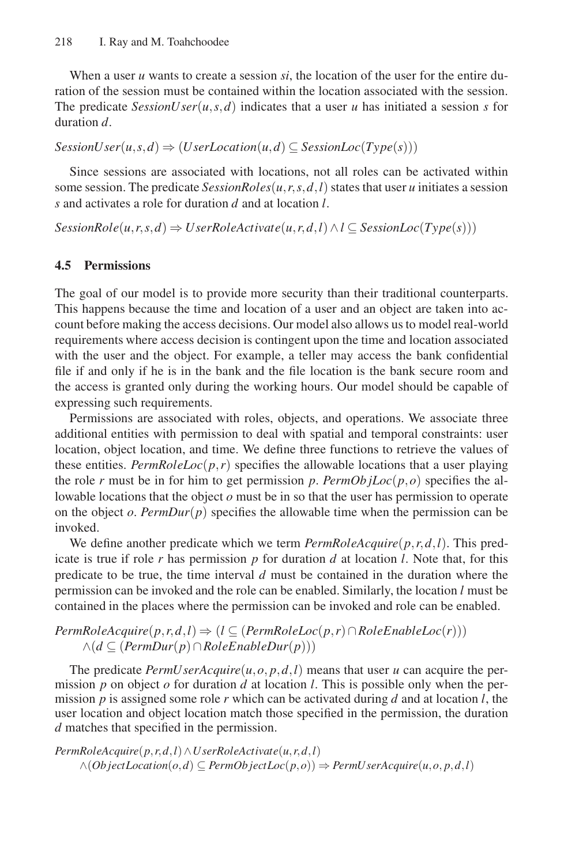When a user *u* wants to create a session *si*, the location of the user for the entire duration of the session must be contained within the location associated with the session. The predicate  $SessionUser(u, s, d)$  indicates that a user *u* has initiated a session *s* for duration *d*.

 $SessionUser(u, s, d) \Rightarrow (Use Location(u, d) \subseteq SessionLoc(Type(s)))$ 

Since sessions are associated with locations, not all roles can be activated within some session. The predicate  $SessionRobles(u,r,s,d,l)$  states that user *u* initiates a session *s* and activates a role for duration *d* and at location *l*.

 $SessionRole(u,r,s,d) \Rightarrow UserRoleActive(u,r,d,l) \land l \subseteq SessionLoc(Type(s)))$ 

#### **4.5 Permissions**

The goal of our model is to provide more security than their traditional counterparts. This happens because the time and location of a user and an object are taken into account before making the access decisions. Our model also allows us to model real-world requirements where access decision is contingent upon the time and location associated with the user and the object. For example, a teller may access the bank confidential file if and only if he is in the bank and the file location is the bank secure room and the access is granted only during the working hours. Our model should be capable of expressing such requirements.

Permissions are associated with roles, objects, and operations. We associate three additional entities with permission to deal with spatial and temporal constraints: user location, object location, and time. We define three functions to retrieve the values of these entities. *PermRoleLoc*( $p, r$ ) specifies the allowable locations that a user playing the role *r* must be in for him to get permission *p*. *PermObjLoc*( $p$ , $o$ ) specifies the allowable locations that the object *o* must be in so that the user has permission to operate on the object  $o$ . *PermDur(p)* specifies the allowable time when the permission can be invoked.

We define another predicate which we term *PermRoleAcquire*(*p*,*r*,*d*,*l*). This predicate is true if role r has permission p for duration d at location l. Note that, for this predicate to be true, the time interval *d* must be contained in the duration where the permission can be invoked and the role can be enabled. Similarly, the location *l* must be contained in the places where the permission can be invoked and role can be enabled.

### *PermRoleAcquire*( $p, r, d, l$ ) ⇒ ( $l$  ⊆ (*PermRoleLoc*( $p, r$ )∩*RoleEnableLoc*( $r$ ))) ∧(*d* ⊆ (*PermDur*(*p*)∩*RoleEnableDur*(*p*)))

The predicate  $PermUserAcquire(u, o, p, d, l)$  means that user *u* can acquire the permission  $p$  on object  $o$  for duration  $d$  at location  $l$ . This is possible only when the permission *p* is assigned some role *r* which can be activated during *d* and at location *l*, the user location and object location match those specified in the permission, the duration *d* matches that specified in the permission.

*PermRoleAcquire*(*p*,*r*,*d*,*l*)∧*UserRoleActivate*(*u*,*r*,*d*,*l*) ∧(*Ob jectLocation*(*o*,*d*) ⊆ *PermOb jectLoc*(*p*,*o*)) ⇒ *PermUserAcquire*(*u*,*o*, *p*,*d*,*l*)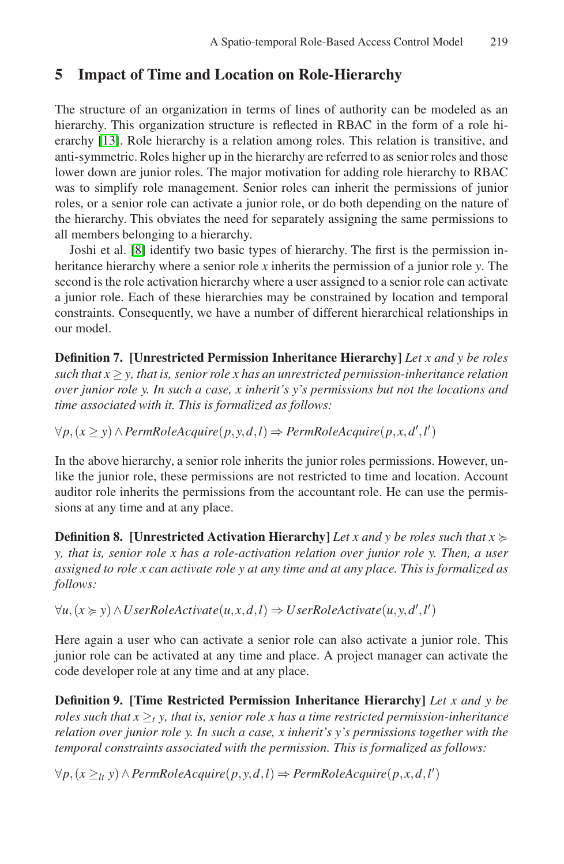## **5 Impact of Time and Location on Role-Hierarchy**

The structure of an organization in terms of lines of authority can be modeled as an hierarchy. This organization structure is reflected in RBAC in the form of a role hierarchy [13]. Role hierarchy is a relation among roles. This relation is transitive, and anti-symmetric. Roles higher up in the hierarchy are referred to as senior roles and those lower down are junior roles. The major motivation for adding role hierarchy to RBAC was to simplify role management. Senior roles can inherit the permissions of junior roles, or a senior role can activate a junior role, or do both depending on the nature of the hierarchy. This obviates the need for separately assigning the same permissions to all members belonging to a hierarchy.

Joshi et al. [8] identify two basic types of hierarchy. The first is the permission inheritance hierarchy where a senior role *x* inherits the permission of a junior role *y*. The second is the role activation hierarchy where a user assigned to a senior role can activate a junior role. Each of these hierarchies may be constrained by location and temporal constraints. Consequently, we have a number of different hierarchical relationships in our model.

**Definition 7. [Unrestricted Permission Inheritance Hierarchy]** *Let x and y be roles such that*  $x \geq y$ *, that is, senior role x has an unrestricted permission-inheritance relation over junior role y. In such a case, x inherit's y's permissions but not the locations and time associated with it. This is formalized as follows:*

∀*p*,(*x* ≥ *y*)∧*PermRoleAcquire*(*p*,*y*,*d*,*l*) ⇒ *PermRoleAcquire*(*p*,*x*,*d* ,*l* )

In the above hierarchy, a senior role inherits the junior roles permissions. However, unlike the junior role, these permissions are not restricted to time and location. Account auditor role inherits the permissions from the accountant role. He can use the permissions at any time and at any place.

**Definition 8. [Unrestricted Activation Hierarchy]** *Let x and y be roles such that*  $x \geq 0$ *y, that is, senior role x has a role-activation relation over junior role y. Then, a user assigned to role x can activate role y at any time and at any place. This is formalized as follows:*

 $\forall u, (x \succcurlyeq y) \land Userႍ{RoleActive}(u, x, d, l) \Rightarrow User \text{RoleActive}(u, y, d', l')$ 

Here again a user who can activate a senior role can also activate a junior role. This junior role can be activated at any time and place. A project manager can activate the code developer role at any time and at any place.

**Definition 9. [Time Restricted Permission Inheritance Hierarchy]** *Let x and y be roles such that*  $x \geq t$  *y, that is, senior role x has a time restricted permission-inheritance relation over junior role y. In such a case, x inherit's y's permissions together with the temporal constraints associated with the permission. This is formalized as follows:*

∀*p*,(*x* ≥*lt y*)∧*PermRoleAcquire*(*p*,*y*,*d*,*l*) ⇒ *PermRoleAcquire*(*p*,*x*,*d*,*l* )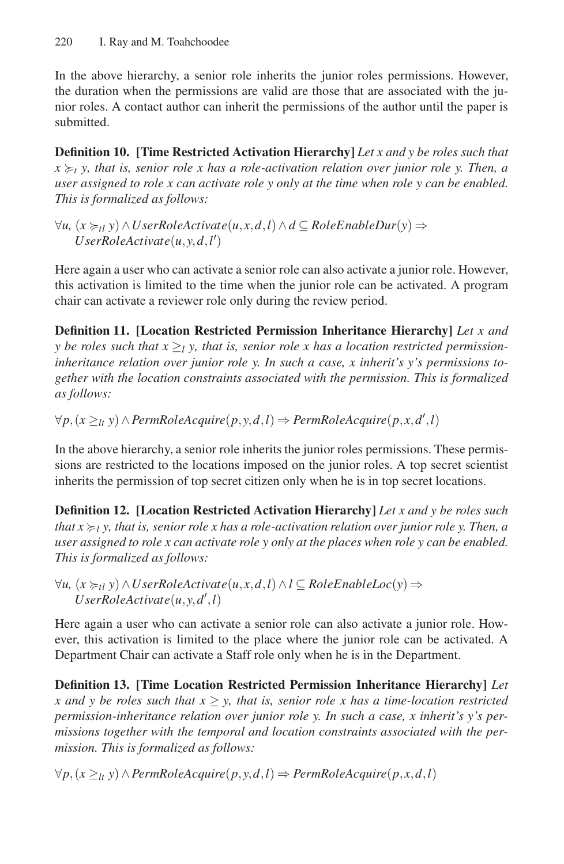In the above hierarchy, a senior role inherits the junior roles permissions. However, the duration when the permissions are valid are those that are associated with the junior roles. A contact author can inherit the permissions of the author until the paper is submitted.

**Definition 10. [Time Restricted Activation Hierarchy]** *Let x and y be roles such that*  $x \succcurlyeq_t y$ , that is, senior role x has a role-activation relation over junior role y. Then, a *user assigned to role x can activate role y only at the time when role y can be enabled. This is formalized as follows:*

 $\forall u, (x \succcurlyeq_{tl} y) \land UserRoleActive(\mathbf{u}, x, d, l) \land d \subseteq RoleEnableDur(y) \Rightarrow$ *UserRoleActivate*(*u*,*y*,*d*,*l* )

Here again a user who can activate a senior role can also activate a junior role. However, this activation is limited to the time when the junior role can be activated. A program chair can activate a reviewer role only during the review period.

**Definition 11. [Location Restricted Permission Inheritance Hierarchy]** *Let x and y* be roles such that  $x \geq_l y$ , that is, senior role x has a location restricted permission*inheritance relation over junior role y. In such a case, x inherit's y's permissions together with the location constraints associated with the permission. This is formalized as follows:*

∀*p*,(*x* ≥*lt y*)∧*PermRoleAcquire*(*p*,*y*,*d*,*l*) ⇒ *PermRoleAcquire*(*p*,*x*,*d* ,*l*)

In the above hierarchy, a senior role inherits the junior roles permissions. These permissions are restricted to the locations imposed on the junior roles. A top secret scientist inherits the permission of top secret citizen only when he is in top secret locations.

**Definition 12. [Location Restricted Activation Hierarchy]** *Let x and y be roles such* that  $x \succcurlyeq_l y$ , that is, senior role  $x$  has a role-activation relation over junior role  $y$ . Then, a *user assigned to role x can activate role y only at the places when role y can be enabled. This is formalized as follows:*

 $\forall u, (x \succcurlyeq_{tl} y) \land User含$ *tivate*(*u*,*x*,*d*,*l*)∧*l* ⊆ *RoleEnableLoc*(*y*)  $\Rightarrow$ *UserRoleActivate*(*u*,*y*,*d* ,*l*)

Here again a user who can activate a senior role can also activate a junior role. However, this activation is limited to the place where the junior role can be activated. A Department Chair can activate a Staff role only when he is in the Department.

**Definition 13. [Time Location Restricted Permission Inheritance Hierarchy]** *Let x* and *y* be roles such that  $x \geq y$ , that is, senior role x has a time-location restricted *permission-inheritance relation over junior role y. In such a case, x inherit's y's permissions together with the temporal and location constraints associated with the permission. This is formalized as follows:*

∀*p*,(*x* ≥*lt y*)∧*PermRoleAcquire*(*p*,*y*,*d*,*l*) ⇒ *PermRoleAcquire*(*p*,*x*,*d*,*l*)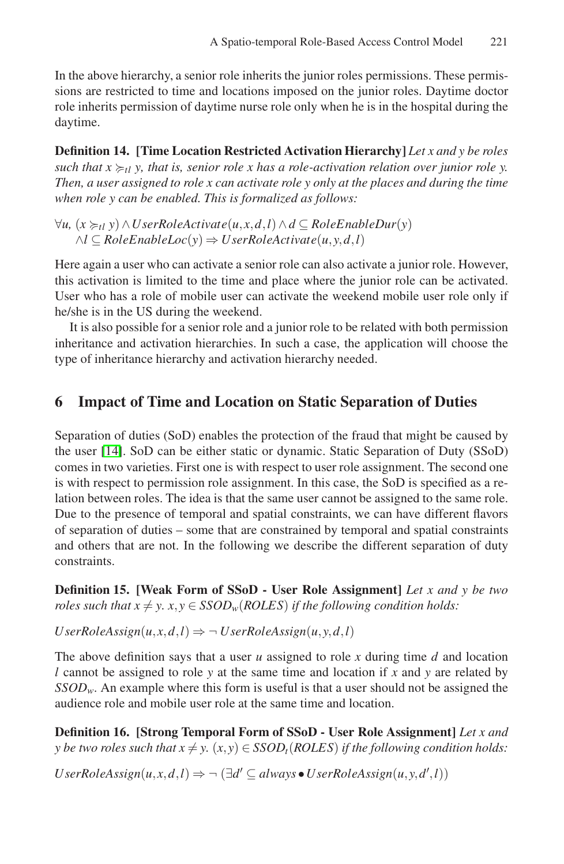In the above hierarchy, a senior role inherits the junior roles permissions. These permissions are restricted to time and locations imposed on the junior roles. Daytime doctor role inherits permission of daytime nurse role only when he is in the hospital during the daytime.

**Definition 14. [Time Location Restricted Activation Hierarchy]** *Let x and y be roles*  $such that x  $\succcurlyeq_{tl} y$ , that is, senior role x has a role-activation relation over junior role y.$ *Then, a user assigned to role x can activate role y only at the places and during the time when role y can be enabled. This is formalized as follows:*

 $\forall u, (x \succcurlyeq_l y) \land User$ *RoleActivate*(*u*,*x*,*d*,*l*)∧*d* ⊆ *RoleEnableDur*(*y*) ∧*l* ⊆ *RoleEnableLoc*(*y*) ⇒ *UserRoleActivate*(*u*,*y*,*d*,*l*)

Here again a user who can activate a senior role can also activate a junior role. However, this activation is limited to the time and place where the junior role can be activated. User who has a role of mobile user can activate the weekend mobile user role only if he/she is in the US during the weekend.

It is also possible for a senior role and a junior role to be related with both permission inheritance and activation hierarchies. In such a case, the application will choose the type of inheritance hierarchy and activation hierarchy needed.

## **6 Impact of Time and Location on Static Separation of Duties**

Separation of duties (SoD) enables the protection of the fraud that might be caused by the user [14]. SoD can be either static or dynamic. Static Separation of Duty (SSoD) comes in two varieties. First one is with respect to user role assignment. The second one is with respect to permission role assignment. In this case, the SoD is specified as a relation between roles. The idea is that the same user cannot be assigned to the same role. Due to the presence of temporal and spatial constraints, we can have different flavors of separation of duties – some that are constrained by temporal and spatial constraints and others that are not. In the following we describe the different separation of duty constraints.

**Definition 15. [Weak Form of SSoD - User Role Assignment]** *Let x and y be two roles such that*  $x \neq y$ ,  $x, y \in SSOD_w(ROLES)$  *if the following condition holds:* 

 $UserRoleAssign(u, x, d, l) \Rightarrow \neg$  *UserRoleAssign*(*u*, *y*,*d*,*l*)

The above definition says that a user *u* assigned to role *x* during time *d* and location *l* cannot be assigned to role *y* at the same time and location if *x* and *y* are related by *SSODw*. An example where this form is useful is that a user should not be assigned the audience role and mobile user role at the same time and location.

**Definition 16. [Strong Temporal Form of SSoD - User Role Assignment]** *Let x and y be two roles such that*  $x \neq y$ *.*  $(x, y) \in SSOD<sub>t</sub>(ROLES)$  *if the following condition holds:* 

 $UserRoleAssign(u, x, d, l)$  ⇒  $\neg$  (∃*d'* ⊆ *always* •  $UserRoleAssign(u, y, d', l)$ )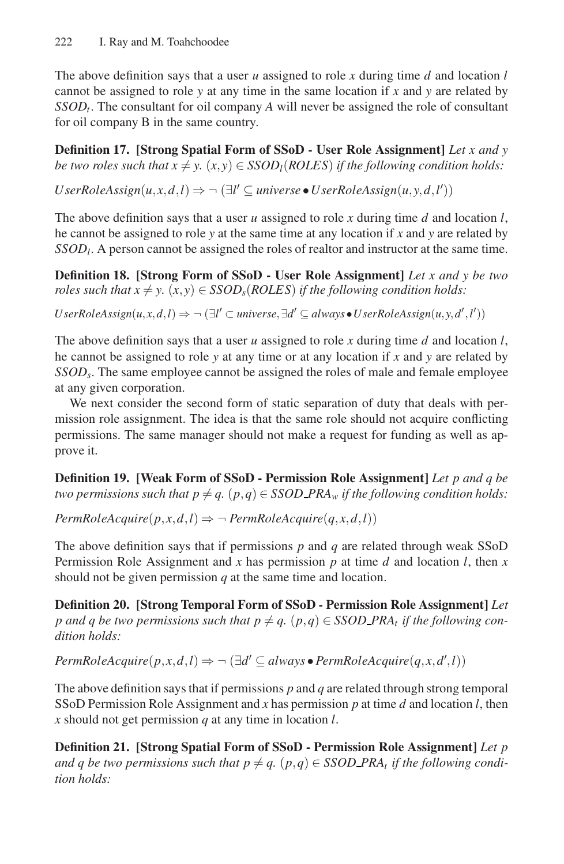The above definition says that a user *u* assigned to role *x* during time *d* and location *l* cannot be assigned to role *y* at any time in the same location if *x* and *y* are related by *SSODt*. The consultant for oil company *A* will never be assigned the role of consultant for oil company B in the same country.

**Definition 17. [Strong Spatial Form of SSoD - User Role Assignment]** *Let x and y be two roles such that*  $x \neq y$ *.*  $(x, y) \in SSOD<sub>l</sub>(ROLES)$  *if the following condition holds:* 

 $UserRoleAssign(u, x, d, l)$   $⇒$   $¬$   $(∃l' ⊆ universe ∘ UserRoleAssign(u, y, d, l'))$ 

The above definition says that a user *u* assigned to role *x* during time *d* and location *l*, he cannot be assigned to role *y* at the same time at any location if *x* and *y* are related by *SSODl*. A person cannot be assigned the roles of realtor and instructor at the same time.

**Definition 18. [Strong Form of SSoD - User Role Assignment]** *Let x and y be two roles such that*  $x \neq y$ *.*  $(x, y) \in SSOD<sub>s</sub>(ROLES)$  *if the following condition holds:* 

 $UserRoleAssign(u, x, d, l) ⇒ ¬ (∃l' ⊂ universe, ∃d' ⊆ always • *UserRoleAssign(u, y, d', l')*)$ 

The above definition says that a user *u* assigned to role *x* during time *d* and location *l*, he cannot be assigned to role *y* at any time or at any location if *x* and *y* are related by *SSODs*. The same employee cannot be assigned the roles of male and female employee at any given corporation.

We next consider the second form of static separation of duty that deals with permission role assignment. The idea is that the same role should not acquire conflicting permissions. The same manager should not make a request for funding as well as approve it.

**Definition 19. [Weak Form of SSoD - Permission Role Assignment]** *Let p and q be two permissions such that*  $p \neq q$ *.*  $(p,q) \in$  *SSOD\_PRA<sub>w</sub> if the following condition holds:* 

 $PermRoleAcquire(p, x, d, l) \Rightarrow \neg PermRoleAcquire(q, x, d, l)$ 

The above definition says that if permissions *p* and *q* are related through weak SSoD Permission Role Assignment and *x* has permission *p* at time *d* and location *l*, then *x* should not be given permission *q* at the same time and location.

**Definition 20. [Strong Temporal Form of SSoD - Permission Role Assignment]** *Let p* and *q* be two permissions such that  $p \neq q$ .  $(p,q) \in$  *SSOD\_PRA<sub>t</sub> if the following condition holds:*

 $PermRoleAcquire(p, x, d, l) \Rightarrow \neg (\exists d' \subseteq always \bullet PermRoleAcquire(q, x, d', l))$ 

The above definition says that if permissions *p* and *q* are related through strong temporal SSoD Permission Role Assignment and *x* has permission *p* at time *d* and location *l*, then *x* should not get permission *q* at any time in location *l*.

**Definition 21. [Strong Spatial Form of SSoD - Permission Role Assignment]** *Let p and q be two permissions such that*  $p \neq q$ *.*  $(p,q) \in$  *SSOD\_PRA<sub>t</sub> if the following condition holds:*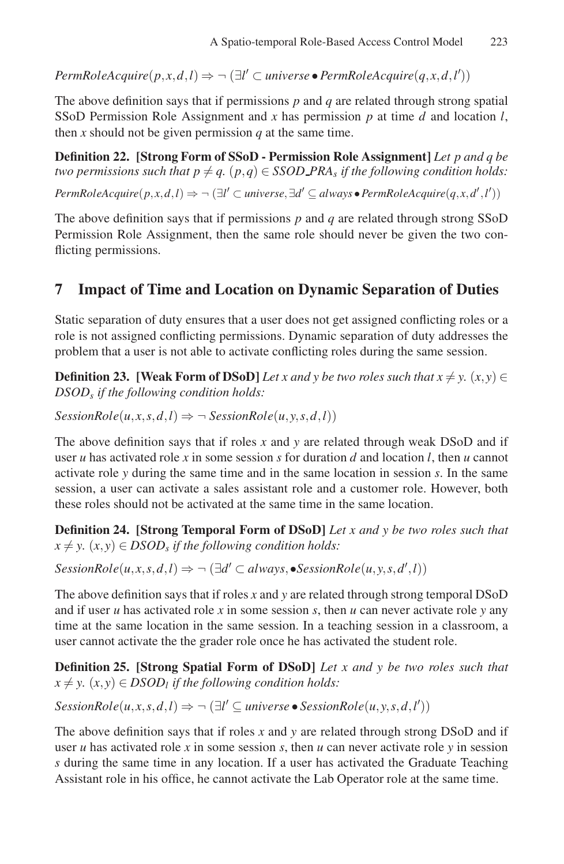$PermRoleAcquire(p, x, d, l) \Rightarrow \neg (\exists l' \subset universe \bullet PermRoleAcquire(q, x, d, l'))$ 

The above definition says that if permissions *p* and *q* are related through strong spatial SSoD Permission Role Assignment and *x* has permission *p* at time *d* and location *l*, then *x* should not be given permission *q* at the same time.

**Definition 22. [Strong Form of SSoD - Permission Role Assignment]** *Let p and q be two permissions such that*  $p \neq q$ *.*  $(p,q) \in SSOD\_PRA_s$  *if the following condition holds:* 

*PermRoleAcquire*( $p$ *,x*,*d*,*l*)  $⇒ ∩$  ( $\exists l' ⊂$  *universe*,  $\exists d' ⊆$  *always* • *PermRoleAcquire*( $q$ *,x*,*d'*,*l'*))

The above definition says that if permissions *p* and *q* are related through strong SSoD Permission Role Assignment, then the same role should never be given the two conflicting permissions.

# **7 Impact of Time and Location on Dynamic Separation of Duties**

Static separation of duty ensures that a user does not get assigned conflicting roles or a role is not assigned conflicting permissions. Dynamic separation of duty addresses the problem that a user is not able to activate conflicting roles during the same session.

**Definition 23.** [Weak Form of DSoD] *Let x and y be two roles such that*  $x \neq y$ *.*  $(x, y) \in$ *DSODs if the following condition holds:*

 $SessionRole(u, x, s, d, l) \Rightarrow \neg SessionRole(u, y, s, d, l)$ 

The above definition says that if roles *x* and *y* are related through weak DSoD and if user *u* has activated role *x* in some session *s* for duration *d* and location *l*, then *u* cannot activate role *y* during the same time and in the same location in session *s*. In the same session, a user can activate a sales assistant role and a customer role. However, both these roles should not be activated at the same time in the same location.

**Definition 24. [Strong Temporal Form of DSoD]** *Let x and y be two roles such that*  $x \neq y$ .  $(x, y) \in DSOD$  *if the following condition holds:* 

 $SessionRole(u, x, s, d, l) \Rightarrow \neg (\exists d' \subset always$ ,•*SessionRole* $(u, y, s, d', l)$ 

The above definition says that if roles *x* and *y* are related through strong temporal DSoD and if user *u* has activated role *x* in some session *s*, then *u* can never activate role *y* any time at the same location in the same session. In a teaching session in a classroom, a user cannot activate the the grader role once he has activated the student role.

**Definition 25. [Strong Spatial Form of DSoD]** *Let x and y be two roles such that*  $x \neq y$ .  $(x, y) \in DSOD_l$  *if the following condition holds:* 

 $SessionRole(u, x, s, d, l) \Rightarrow \neg (\exists l' \subseteq universe \bullet SessionRole(u, y, s, d, l'))$ 

The above definition says that if roles *x* and *y* are related through strong DSoD and if user *u* has activated role *x* in some session *s*, then *u* can never activate role *y* in session *s* during the same time in any location. If a user has activated the Graduate Teaching Assistant role in his office, he cannot activate the Lab Operator role at the same time.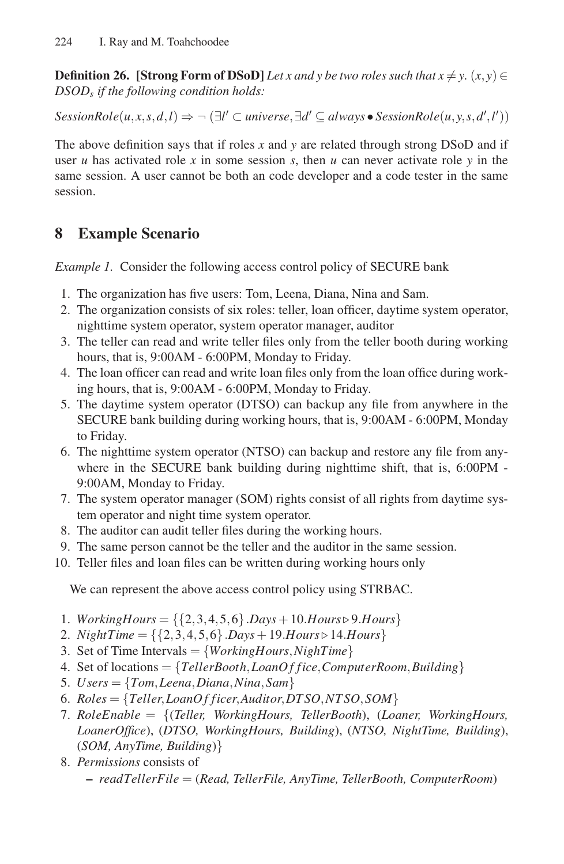**Definition 26.** [Strong Form of DSoD] *Let x and y be two roles such that*  $x \neq y$ *.*  $(x, y) \in$ *DSODs if the following condition holds:*

 $SessionRole(u, x, s, d, l) \Rightarrow \neg (\exists l' \subset universe, \exists d' \subseteq always \bullet SessionRole(u, y, s, d', l'))$ 

The above definition says that if roles *x* and *y* are related through strong DSoD and if user  $u$  has activated role  $x$  in some session  $s$ , then  $u$  can never activate role  $y$  in the same session. A user cannot be both an code developer and a code tester in the same session.

# <span id="page-13-0"></span>**8 Example Scenario**

*Example 1.* Consider the following access control policy of SECURE bank

- 1. The organization has five users: Tom, Leena, Diana, Nina and Sam.
- 2. The organization consists of six roles: teller, loan officer, daytime system operator, nighttime system operator, system operator manager, auditor
- 3. The teller can read and write teller files only from the teller booth during working hours, that is, 9:00AM - 6:00PM, Monday to Friday.
- 4. The loan officer can read and write loan files only from the loan office during working hours, that is, 9:00AM - 6:00PM, Monday to Friday.
- 5. The daytime system operator (DTSO) can backup any file from anywhere in the SECURE bank building during working hours, that is, 9:00AM - 6:00PM, Monday to Friday.
- 6. The nighttime system operator (NTSO) can backup and restore any file from anywhere in the SECURE bank building during nighttime shift, that is, 6:00PM - 9:00AM, Monday to Friday.
- 7. The system operator manager (SOM) rights consist of all rights from daytime system operator and night time system operator.
- 8. The auditor can audit teller files during the working hours.
- 9. The same person cannot be the teller and the auditor in the same session.
- 10. Teller files and loan files can be written during working hours only

We can represent the above access control policy using STRBAC.

- 1. *WorkingHours* =  $\{\{2, 3, 4, 5, 6\}$ . *Days* + 10.*Hours*  $\triangleright$  9.*Hours*}
- 2. *NightTime* = { ${2, 3, 4, 5, 6}$ *.Days* + 19*.Hours* > 14*.Hours*}
- 3. Set of Time Intervals = {*WorkingHours*,*NighTime*}
- 4. Set of locations = {*TellerBooth*,*LoanO f fice*,*ComputerRoom*,*Building*}
- 5. *Users* = {*Tom*,*Leena*,*Diana*,*Nina*,*Sam*}
- 6. *Roles* = {*Teller*,*LoanO f ficer*,*Auditor*,*DTSO*,*NTSO*,*SOM*}
- 7. *RoleEnable* = {(*Teller, WorkingHours, TellerBooth*), (*Loaner, WorkingHours, LoanerOffice*), (*DTSO, WorkingHours, Building*), (*NTSO, NightTime, Building*), (*SOM, AnyTime, Building*)}
- 8. *Permissions* consists of **–** *readTellerFile* = (*Read, TellerFile, AnyTime, TellerBooth, ComputerRoom*)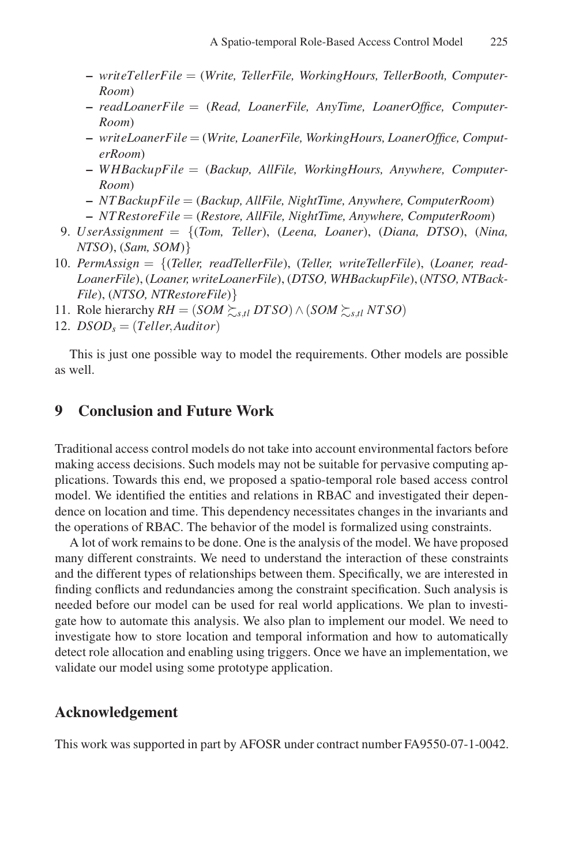- **–** *writeTellerFile* = (*Write, TellerFile, WorkingHours, TellerBooth, Computer-Room*)
- **–** *readLoanerFile* = (*Read, LoanerFile, AnyTime, LoanerOffice, Computer-Room*)
- **–** *writeLoanerFile* = (*Write, LoanerFile, WorkingHours, LoanerOffice, ComputerRoom*)
- **–** *WHBackupFile* = (*Backup, AllFile, WorkingHours, Anywhere, Computer-Room*)
- **–** *NT BackupFile* = (*Backup, AllFile, NightTime, Anywhere, ComputerRoom*)
- **–** *NT RestoreFile* = (*Restore, AllFile, NightTime, Anywhere, ComputerRoom*)
- 9. *UserAssignment* = {(*Tom, Teller*), (*Leena, Loaner*), (*Diana, DTSO*), (*Nina, NTSO*), (*Sam, SOM*)}
- 10. *PermAssign* = {(*Teller, readTellerFile*), (*Teller, writeTellerFile*), (*Loaner, read-LoanerFile*), (*Loaner, writeLoanerFile*), (*DTSO, WHBackupFile*), (*NTSO, NTBack-File*), (*NTSO, NTRestoreFile*)}
- 11. Role hierarchy  $RH = (SOM \succsim_{s,tl} DTSO) \wedge (SOM \succsim_{s,tl} NTSO)$
- 12.  $DSOD_s = (Teller, Auditor)$

This is just one possible way to model the requirements. Other models are possible as well.

### **9 Conclusion and Future Work**

Traditional access control models do not take into account environmental factors before making access decisions. Such models may not be suitable for pervasive computing applications. Towards this end, we proposed a spatio-temporal role based access control model. We identified the entities and relations in RBAC and investigated their dependence on location and time. This dependency necessitates changes in the invariants and the operations of RBAC. The behavior of the model is formalized using constraints.

A lot of work remains to be done. One is the analysis of the model. We have proposed many different constraints. We need to understand the interaction of these constraints and the different types of relationships between them. Specifically, we are interested in finding conflicts and redundancies among the constraint specification. Such analysis is needed before our model can be used for real world applications. We plan to investigate how to automate this analysis. We also plan to implement our model. We need to investigate how to store location and temporal information and how to automatically detect role allocation and enabling using triggers. Once we have an implementation, we validate our model using some prototype application.

#### **Acknowledgement**

This work was supported in part by AFOSR under contract number FA9550-07-1-0042.